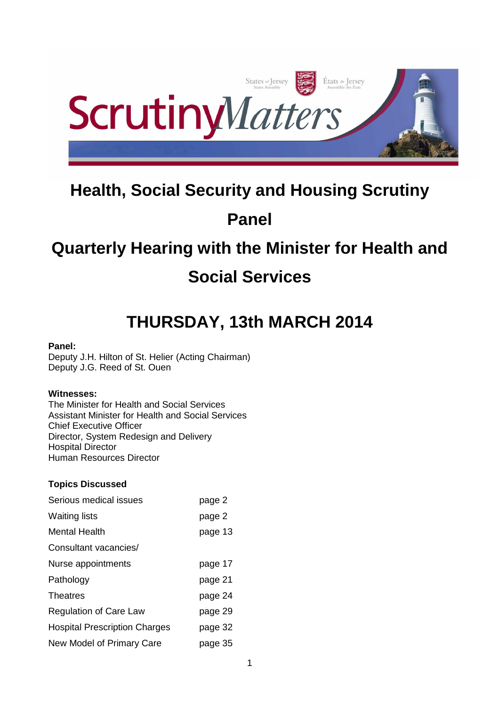

# **Health, Social Security and Housing Scrutiny**

# **Panel**

# **Quarterly Hearing with the Minister for Health and Social Services**

# **THURSDAY, 13th MARCH 2014**

# **Panel:**

Deputy J.H. Hilton of St. Helier (Acting Chairman) Deputy J.G. Reed of St. Ouen

# **Witnesses:**

The Minister for Health and Social Services Assistant Minister for Health and Social Services Chief Executive Officer Director, System Redesign and Delivery Hospital Director Human Resources Director

# **Topics Discussed**

| Serious medical issues               | page 2  |
|--------------------------------------|---------|
| <b>Waiting lists</b>                 | page 2  |
| <b>Mental Health</b>                 | page 13 |
| Consultant vacancies/                |         |
| Nurse appointments                   | page 17 |
| Pathology                            | page 21 |
| Theatres                             | page 24 |
| <b>Regulation of Care Law</b>        | page 29 |
| <b>Hospital Prescription Charges</b> | page 32 |
| New Model of Primary Care            | page 35 |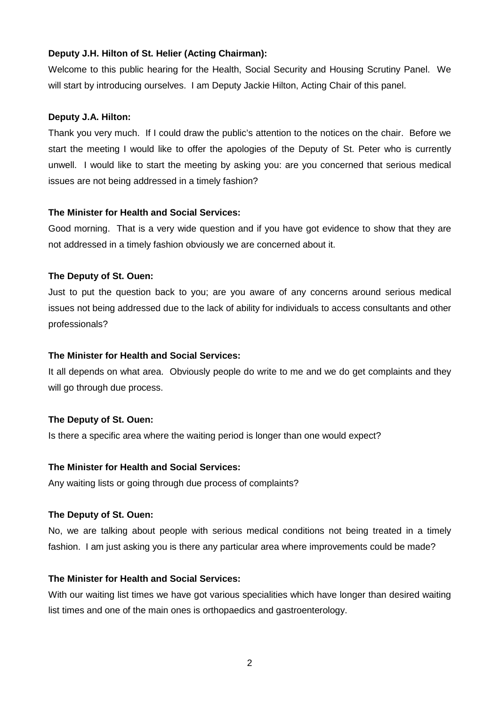## **Deputy J.H. Hilton of St. Helier (Acting Chairman):**

Welcome to this public hearing for the Health, Social Security and Housing Scrutiny Panel. We will start by introducing ourselves. I am Deputy Jackie Hilton, Acting Chair of this panel.

## **Deputy J.A. Hilton:**

Thank you very much. If I could draw the public's attention to the notices on the chair. Before we start the meeting I would like to offer the apologies of the Deputy of St. Peter who is currently unwell. I would like to start the meeting by asking you: are you concerned that serious medical issues are not being addressed in a timely fashion?

# **The Minister for Health and Social Services:**

Good morning. That is a very wide question and if you have got evidence to show that they are not addressed in a timely fashion obviously we are concerned about it.

# **The Deputy of St. Ouen:**

Just to put the question back to you; are you aware of any concerns around serious medical issues not being addressed due to the lack of ability for individuals to access consultants and other professionals?

## **The Minister for Health and Social Services:**

It all depends on what area. Obviously people do write to me and we do get complaints and they will go through due process.

## **The Deputy of St. Ouen:**

Is there a specific area where the waiting period is longer than one would expect?

## **The Minister for Health and Social Services:**

Any waiting lists or going through due process of complaints?

## **The Deputy of St. Ouen:**

No, we are talking about people with serious medical conditions not being treated in a timely fashion. I am just asking you is there any particular area where improvements could be made?

## **The Minister for Health and Social Services:**

With our waiting list times we have got various specialities which have longer than desired waiting list times and one of the main ones is orthopaedics and gastroenterology.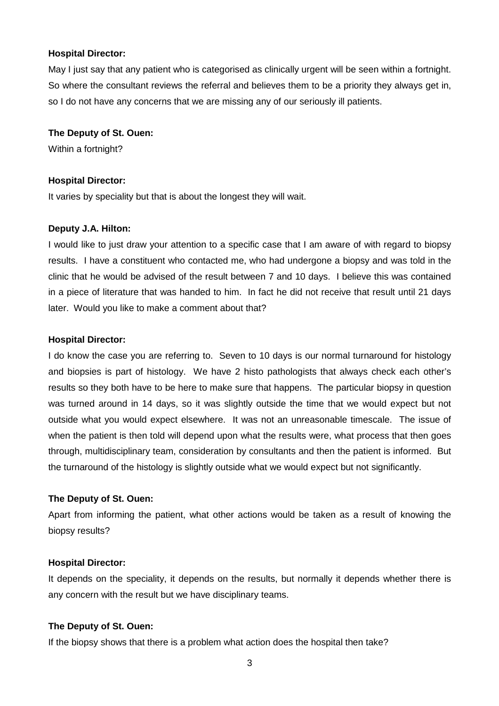May I just say that any patient who is categorised as clinically urgent will be seen within a fortnight. So where the consultant reviews the referral and believes them to be a priority they always get in, so I do not have any concerns that we are missing any of our seriously ill patients.

## **The Deputy of St. Ouen:**

Within a fortnight?

#### **Hospital Director:**

It varies by speciality but that is about the longest they will wait.

#### **Deputy J.A. Hilton:**

I would like to just draw your attention to a specific case that I am aware of with regard to biopsy results. I have a constituent who contacted me, who had undergone a biopsy and was told in the clinic that he would be advised of the result between 7 and 10 days. I believe this was contained in a piece of literature that was handed to him. In fact he did not receive that result until 21 days later. Would you like to make a comment about that?

#### **Hospital Director:**

I do know the case you are referring to. Seven to 10 days is our normal turnaround for histology and biopsies is part of histology. We have 2 histo pathologists that always check each other's results so they both have to be here to make sure that happens. The particular biopsy in question was turned around in 14 days, so it was slightly outside the time that we would expect but not outside what you would expect elsewhere. It was not an unreasonable timescale. The issue of when the patient is then told will depend upon what the results were, what process that then goes through, multidisciplinary team, consideration by consultants and then the patient is informed. But the turnaround of the histology is slightly outside what we would expect but not significantly.

## **The Deputy of St. Ouen:**

Apart from informing the patient, what other actions would be taken as a result of knowing the biopsy results?

#### **Hospital Director:**

It depends on the speciality, it depends on the results, but normally it depends whether there is any concern with the result but we have disciplinary teams.

## **The Deputy of St. Ouen:**

If the biopsy shows that there is a problem what action does the hospital then take?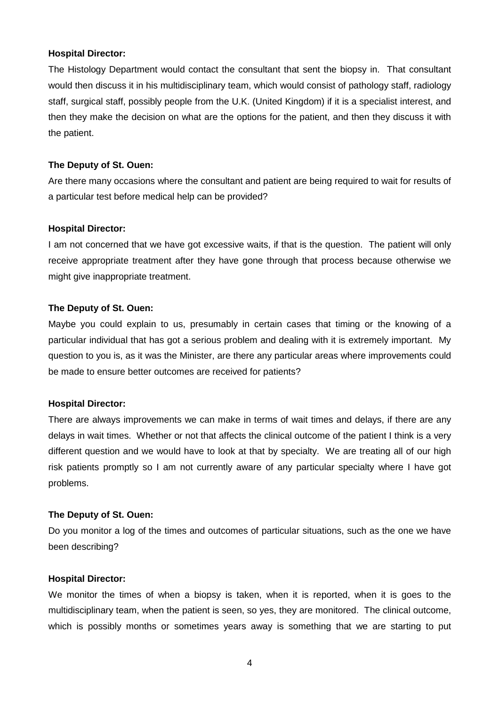The Histology Department would contact the consultant that sent the biopsy in. That consultant would then discuss it in his multidisciplinary team, which would consist of pathology staff, radiology staff, surgical staff, possibly people from the U.K. (United Kingdom) if it is a specialist interest, and then they make the decision on what are the options for the patient, and then they discuss it with the patient.

## **The Deputy of St. Ouen:**

Are there many occasions where the consultant and patient are being required to wait for results of a particular test before medical help can be provided?

#### **Hospital Director:**

I am not concerned that we have got excessive waits, if that is the question. The patient will only receive appropriate treatment after they have gone through that process because otherwise we might give inappropriate treatment.

#### **The Deputy of St. Ouen:**

Maybe you could explain to us, presumably in certain cases that timing or the knowing of a particular individual that has got a serious problem and dealing with it is extremely important. My question to you is, as it was the Minister, are there any particular areas where improvements could be made to ensure better outcomes are received for patients?

#### **Hospital Director:**

There are always improvements we can make in terms of wait times and delays, if there are any delays in wait times. Whether or not that affects the clinical outcome of the patient I think is a very different question and we would have to look at that by specialty. We are treating all of our high risk patients promptly so I am not currently aware of any particular specialty where I have got problems.

#### **The Deputy of St. Ouen:**

Do you monitor a log of the times and outcomes of particular situations, such as the one we have been describing?

#### **Hospital Director:**

We monitor the times of when a biopsy is taken, when it is reported, when it is goes to the multidisciplinary team, when the patient is seen, so yes, they are monitored. The clinical outcome, which is possibly months or sometimes years away is something that we are starting to put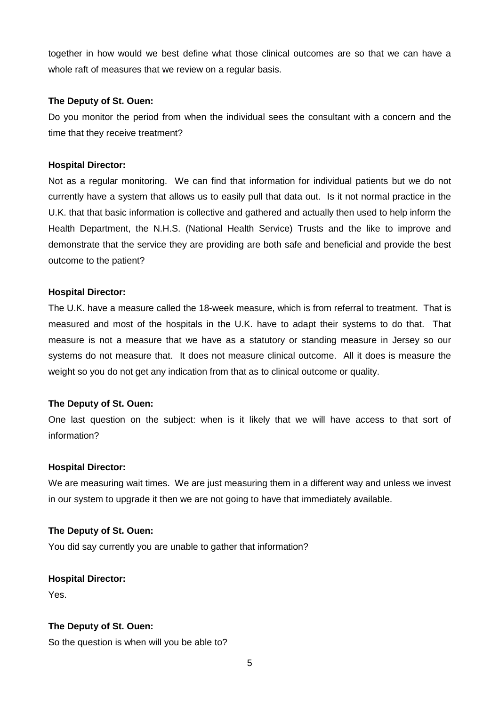together in how would we best define what those clinical outcomes are so that we can have a whole raft of measures that we review on a regular basis.

## **The Deputy of St. Ouen:**

Do you monitor the period from when the individual sees the consultant with a concern and the time that they receive treatment?

## **Hospital Director:**

Not as a regular monitoring. We can find that information for individual patients but we do not currently have a system that allows us to easily pull that data out. Is it not normal practice in the U.K. that that basic information is collective and gathered and actually then used to help inform the Health Department, the N.H.S. (National Health Service) Trusts and the like to improve and demonstrate that the service they are providing are both safe and beneficial and provide the best outcome to the patient?

#### **Hospital Director:**

The U.K. have a measure called the 18-week measure, which is from referral to treatment. That is measured and most of the hospitals in the U.K. have to adapt their systems to do that. That measure is not a measure that we have as a statutory or standing measure in Jersey so our systems do not measure that. It does not measure clinical outcome. All it does is measure the weight so you do not get any indication from that as to clinical outcome or quality.

## **The Deputy of St. Ouen:**

One last question on the subject: when is it likely that we will have access to that sort of information?

#### **Hospital Director:**

We are measuring wait times. We are just measuring them in a different way and unless we invest in our system to upgrade it then we are not going to have that immediately available.

#### **The Deputy of St. Ouen:**

You did say currently you are unable to gather that information?

#### **Hospital Director:**

Yes.

## **The Deputy of St. Ouen:**

So the question is when will you be able to?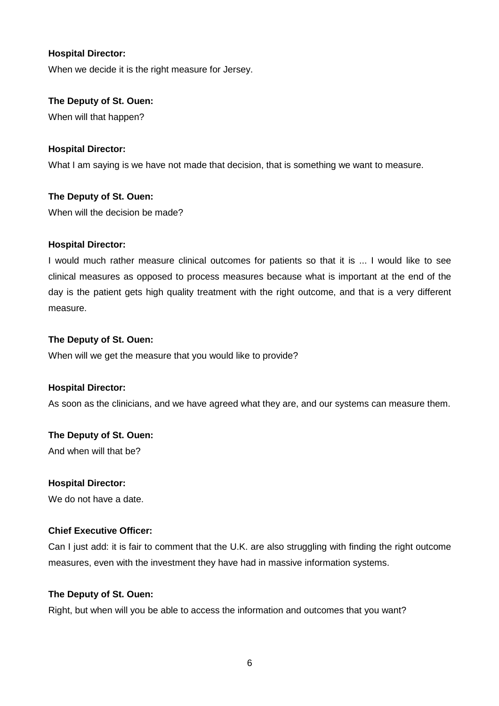When we decide it is the right measure for Jersey.

## **The Deputy of St. Ouen:**

When will that happen?

## **Hospital Director:**

What I am saying is we have not made that decision, that is something we want to measure.

# **The Deputy of St. Ouen:**

When will the decision be made?

## **Hospital Director:**

I would much rather measure clinical outcomes for patients so that it is ... I would like to see clinical measures as opposed to process measures because what is important at the end of the day is the patient gets high quality treatment with the right outcome, and that is a very different measure.

#### **The Deputy of St. Ouen:**

When will we get the measure that you would like to provide?

## **Hospital Director:**

As soon as the clinicians, and we have agreed what they are, and our systems can measure them.

## **The Deputy of St. Ouen:**

And when will that be?

## **Hospital Director:**

We do not have a date.

## **Chief Executive Officer:**

Can I just add: it is fair to comment that the U.K. are also struggling with finding the right outcome measures, even with the investment they have had in massive information systems.

## **The Deputy of St. Ouen:**

Right, but when will you be able to access the information and outcomes that you want?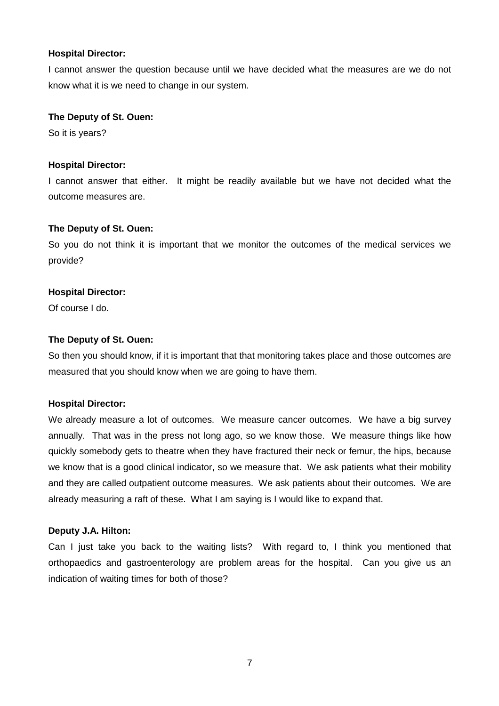I cannot answer the question because until we have decided what the measures are we do not know what it is we need to change in our system.

#### **The Deputy of St. Ouen:**

So it is years?

## **Hospital Director:**

I cannot answer that either. It might be readily available but we have not decided what the outcome measures are.

## **The Deputy of St. Ouen:**

So you do not think it is important that we monitor the outcomes of the medical services we provide?

#### **Hospital Director:**

Of course I do.

#### **The Deputy of St. Ouen:**

So then you should know, if it is important that that monitoring takes place and those outcomes are measured that you should know when we are going to have them.

## **Hospital Director:**

We already measure a lot of outcomes. We measure cancer outcomes. We have a big survey annually. That was in the press not long ago, so we know those. We measure things like how quickly somebody gets to theatre when they have fractured their neck or femur, the hips, because we know that is a good clinical indicator, so we measure that. We ask patients what their mobility and they are called outpatient outcome measures. We ask patients about their outcomes. We are already measuring a raft of these. What I am saying is I would like to expand that.

#### **Deputy J.A. Hilton:**

Can I just take you back to the waiting lists? With regard to, I think you mentioned that orthopaedics and gastroenterology are problem areas for the hospital. Can you give us an indication of waiting times for both of those?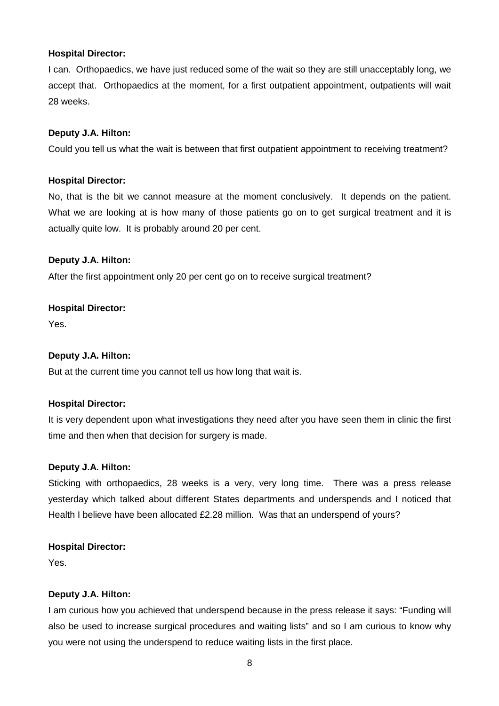I can. Orthopaedics, we have just reduced some of the wait so they are still unacceptably long, we accept that. Orthopaedics at the moment, for a first outpatient appointment, outpatients will wait 28 weeks.

#### **Deputy J.A. Hilton:**

Could you tell us what the wait is between that first outpatient appointment to receiving treatment?

#### **Hospital Director:**

No, that is the bit we cannot measure at the moment conclusively. It depends on the patient. What we are looking at is how many of those patients go on to get surgical treatment and it is actually quite low. It is probably around 20 per cent.

#### **Deputy J.A. Hilton:**

After the first appointment only 20 per cent go on to receive surgical treatment?

#### **Hospital Director:**

Yes.

## **Deputy J.A. Hilton:**

But at the current time you cannot tell us how long that wait is.

#### **Hospital Director:**

It is very dependent upon what investigations they need after you have seen them in clinic the first time and then when that decision for surgery is made.

#### **Deputy J.A. Hilton:**

Sticking with orthopaedics, 28 weeks is a very, very long time. There was a press release yesterday which talked about different States departments and underspends and I noticed that Health I believe have been allocated £2.28 million. Was that an underspend of yours?

#### **Hospital Director:**

Yes.

## **Deputy J.A. Hilton:**

I am curious how you achieved that underspend because in the press release it says: "Funding will also be used to increase surgical procedures and waiting lists" and so I am curious to know why you were not using the underspend to reduce waiting lists in the first place.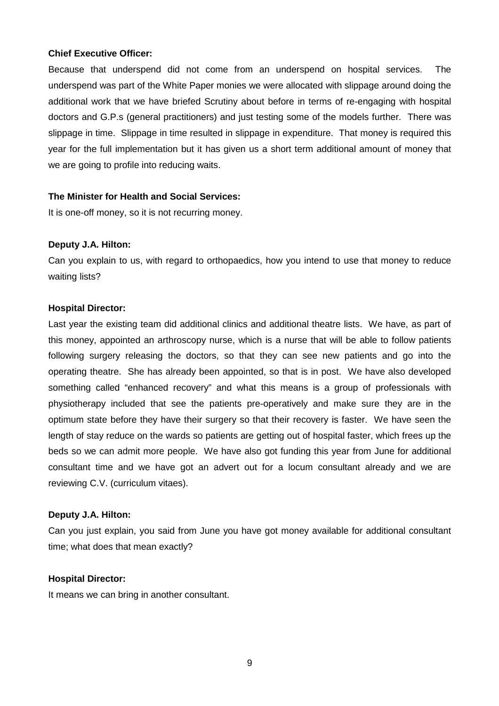## **Chief Executive Officer:**

Because that underspend did not come from an underspend on hospital services. The underspend was part of the White Paper monies we were allocated with slippage around doing the additional work that we have briefed Scrutiny about before in terms of re-engaging with hospital doctors and G.P.s (general practitioners) and just testing some of the models further. There was slippage in time. Slippage in time resulted in slippage in expenditure. That money is required this year for the full implementation but it has given us a short term additional amount of money that we are going to profile into reducing waits.

#### **The Minister for Health and Social Services:**

It is one-off money, so it is not recurring money.

#### **Deputy J.A. Hilton:**

Can you explain to us, with regard to orthopaedics, how you intend to use that money to reduce waiting lists?

#### **Hospital Director:**

Last year the existing team did additional clinics and additional theatre lists. We have, as part of this money, appointed an arthroscopy nurse, which is a nurse that will be able to follow patients following surgery releasing the doctors, so that they can see new patients and go into the operating theatre. She has already been appointed, so that is in post. We have also developed something called "enhanced recovery" and what this means is a group of professionals with physiotherapy included that see the patients pre-operatively and make sure they are in the optimum state before they have their surgery so that their recovery is faster. We have seen the length of stay reduce on the wards so patients are getting out of hospital faster, which frees up the beds so we can admit more people. We have also got funding this year from June for additional consultant time and we have got an advert out for a locum consultant already and we are reviewing C.V. (curriculum vitaes).

#### **Deputy J.A. Hilton:**

Can you just explain, you said from June you have got money available for additional consultant time; what does that mean exactly?

#### **Hospital Director:**

It means we can bring in another consultant.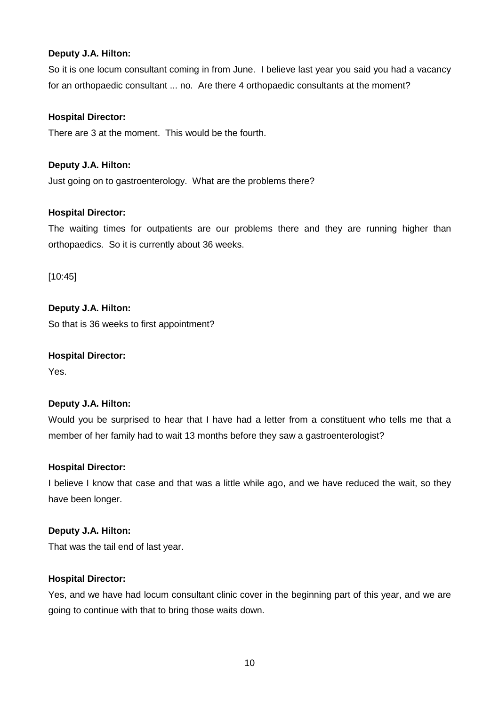# **Deputy J.A. Hilton:**

So it is one locum consultant coming in from June. I believe last year you said you had a vacancy for an orthopaedic consultant ... no. Are there 4 orthopaedic consultants at the moment?

# **Hospital Director:**

There are 3 at the moment. This would be the fourth.

# **Deputy J.A. Hilton:**

Just going on to gastroenterology. What are the problems there?

## **Hospital Director:**

The waiting times for outpatients are our problems there and they are running higher than orthopaedics. So it is currently about 36 weeks.

[10:45]

# **Deputy J.A. Hilton:**

So that is 36 weeks to first appointment?

## **Hospital Director:**

Yes.

## **Deputy J.A. Hilton:**

Would you be surprised to hear that I have had a letter from a constituent who tells me that a member of her family had to wait 13 months before they saw a gastroenterologist?

## **Hospital Director:**

I believe I know that case and that was a little while ago, and we have reduced the wait, so they have been longer.

## **Deputy J.A. Hilton:**

That was the tail end of last year.

## **Hospital Director:**

Yes, and we have had locum consultant clinic cover in the beginning part of this year, and we are going to continue with that to bring those waits down.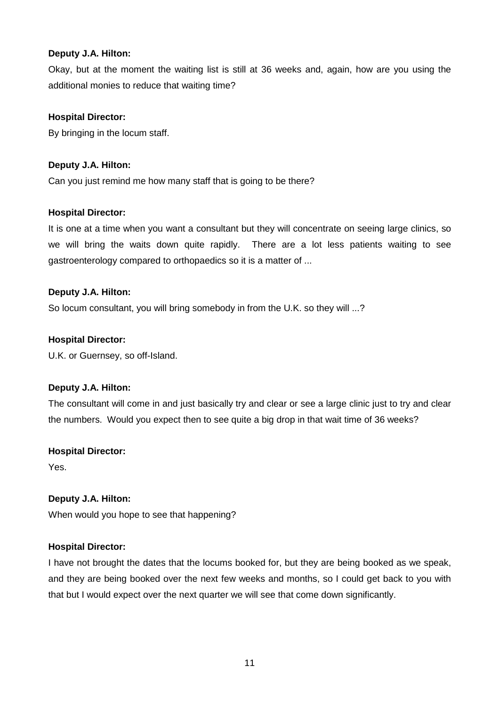# **Deputy J.A. Hilton:**

Okay, but at the moment the waiting list is still at 36 weeks and, again, how are you using the additional monies to reduce that waiting time?

# **Hospital Director:**

By bringing in the locum staff.

# **Deputy J.A. Hilton:**

Can you just remind me how many staff that is going to be there?

# **Hospital Director:**

It is one at a time when you want a consultant but they will concentrate on seeing large clinics, so we will bring the waits down quite rapidly. There are a lot less patients waiting to see gastroenterology compared to orthopaedics so it is a matter of ...

# **Deputy J.A. Hilton:**

So locum consultant, you will bring somebody in from the U.K. so they will ...?

# **Hospital Director:**

U.K. or Guernsey, so off-Island.

# **Deputy J.A. Hilton:**

The consultant will come in and just basically try and clear or see a large clinic just to try and clear the numbers. Would you expect then to see quite a big drop in that wait time of 36 weeks?

## **Hospital Director:**

Yes.

## **Deputy J.A. Hilton:**

When would you hope to see that happening?

## **Hospital Director:**

I have not brought the dates that the locums booked for, but they are being booked as we speak, and they are being booked over the next few weeks and months, so I could get back to you with that but I would expect over the next quarter we will see that come down significantly.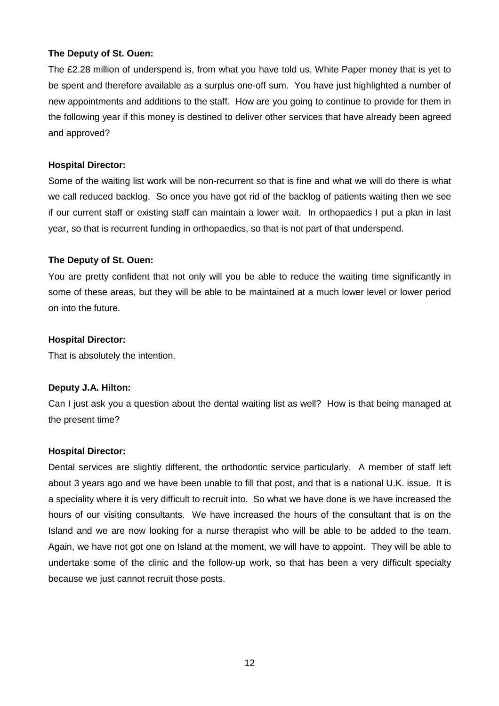The £2.28 million of underspend is, from what you have told us, White Paper money that is yet to be spent and therefore available as a surplus one-off sum. You have just highlighted a number of new appointments and additions to the staff. How are you going to continue to provide for them in the following year if this money is destined to deliver other services that have already been agreed and approved?

# **Hospital Director:**

Some of the waiting list work will be non-recurrent so that is fine and what we will do there is what we call reduced backlog. So once you have got rid of the backlog of patients waiting then we see if our current staff or existing staff can maintain a lower wait. In orthopaedics I put a plan in last year, so that is recurrent funding in orthopaedics, so that is not part of that underspend.

# **The Deputy of St. Ouen:**

You are pretty confident that not only will you be able to reduce the waiting time significantly in some of these areas, but they will be able to be maintained at a much lower level or lower period on into the future.

# **Hospital Director:**

That is absolutely the intention.

# **Deputy J.A. Hilton:**

Can I just ask you a question about the dental waiting list as well? How is that being managed at the present time?

# **Hospital Director:**

Dental services are slightly different, the orthodontic service particularly. A member of staff left about 3 years ago and we have been unable to fill that post, and that is a national U.K. issue. It is a speciality where it is very difficult to recruit into. So what we have done is we have increased the hours of our visiting consultants. We have increased the hours of the consultant that is on the Island and we are now looking for a nurse therapist who will be able to be added to the team. Again, we have not got one on Island at the moment, we will have to appoint. They will be able to undertake some of the clinic and the follow-up work, so that has been a very difficult specialty because we just cannot recruit those posts.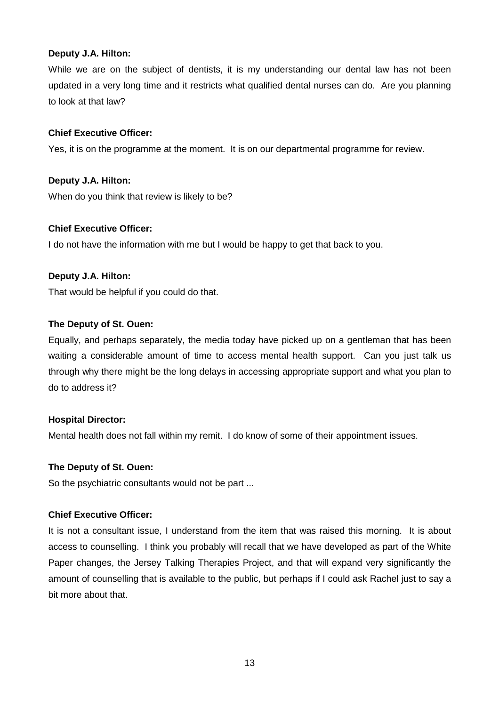# **Deputy J.A. Hilton:**

While we are on the subject of dentists, it is my understanding our dental law has not been updated in a very long time and it restricts what qualified dental nurses can do. Are you planning to look at that law?

## **Chief Executive Officer:**

Yes, it is on the programme at the moment. It is on our departmental programme for review.

# **Deputy J.A. Hilton:**

When do you think that review is likely to be?

# **Chief Executive Officer:**

I do not have the information with me but I would be happy to get that back to you.

# **Deputy J.A. Hilton:**

That would be helpful if you could do that.

## **The Deputy of St. Ouen:**

Equally, and perhaps separately, the media today have picked up on a gentleman that has been waiting a considerable amount of time to access mental health support. Can you just talk us through why there might be the long delays in accessing appropriate support and what you plan to do to address it?

## **Hospital Director:**

Mental health does not fall within my remit. I do know of some of their appointment issues.

## **The Deputy of St. Ouen:**

So the psychiatric consultants would not be part ...

## **Chief Executive Officer:**

It is not a consultant issue, I understand from the item that was raised this morning. It is about access to counselling. I think you probably will recall that we have developed as part of the White Paper changes, the Jersey Talking Therapies Project, and that will expand very significantly the amount of counselling that is available to the public, but perhaps if I could ask Rachel just to say a bit more about that.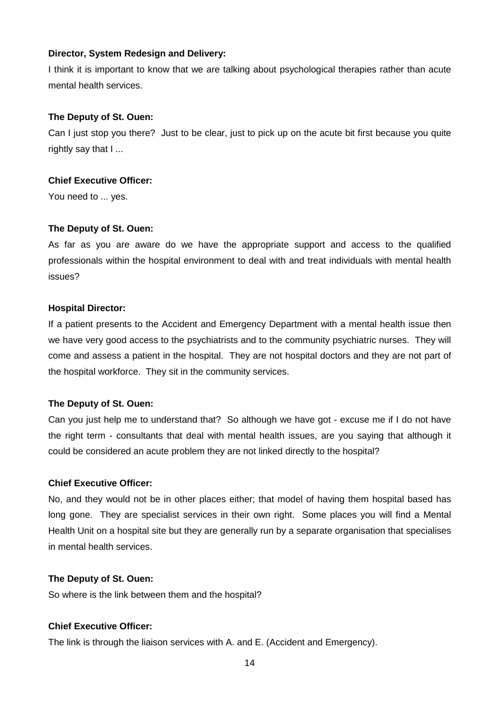## **Director, System Redesign and Delivery:**

I think it is important to know that we are talking about psychological therapies rather than acute mental health services.

## **The Deputy of St. Ouen:**

Can I just stop you there? Just to be clear, just to pick up on the acute bit first because you quite rightly say that I ...

## **Chief Executive Officer:**

You need to ... yes.

## **The Deputy of St. Ouen:**

As far as you are aware do we have the appropriate support and access to the qualified professionals within the hospital environment to deal with and treat individuals with mental health issues?

#### **Hospital Director:**

If a patient presents to the Accident and Emergency Department with a mental health issue then we have very good access to the psychiatrists and to the community psychiatric nurses. They will come and assess a patient in the hospital. They are not hospital doctors and they are not part of the hospital workforce. They sit in the community services.

## **The Deputy of St. Ouen:**

Can you just help me to understand that? So although we have got - excuse me if I do not have the right term - consultants that deal with mental health issues, are you saying that although it could be considered an acute problem they are not linked directly to the hospital?

#### **Chief Executive Officer:**

No, and they would not be in other places either; that model of having them hospital based has long gone. They are specialist services in their own right. Some places you will find a Mental Health Unit on a hospital site but they are generally run by a separate organisation that specialises in mental health services.

#### **The Deputy of St. Ouen:**

So where is the link between them and the hospital?

## **Chief Executive Officer:**

The link is through the liaison services with A. and E. (Accident and Emergency).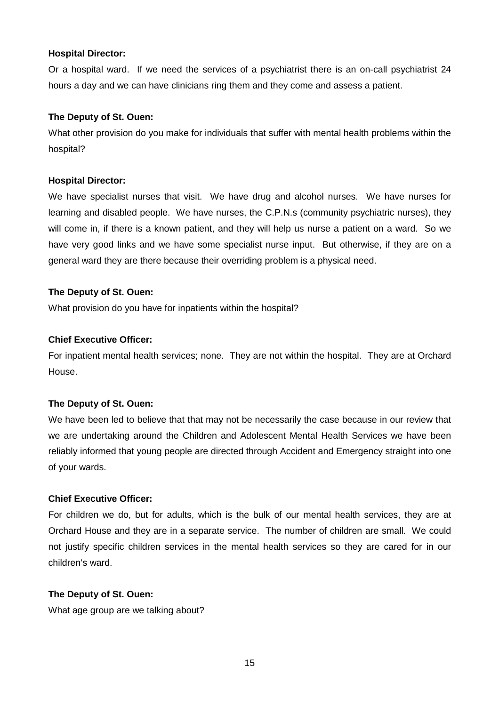Or a hospital ward. If we need the services of a psychiatrist there is an on-call psychiatrist 24 hours a day and we can have clinicians ring them and they come and assess a patient.

## **The Deputy of St. Ouen:**

What other provision do you make for individuals that suffer with mental health problems within the hospital?

#### **Hospital Director:**

We have specialist nurses that visit. We have drug and alcohol nurses. We have nurses for learning and disabled people. We have nurses, the C.P.N.s (community psychiatric nurses), they will come in, if there is a known patient, and they will help us nurse a patient on a ward. So we have very good links and we have some specialist nurse input. But otherwise, if they are on a general ward they are there because their overriding problem is a physical need.

#### **The Deputy of St. Ouen:**

What provision do you have for inpatients within the hospital?

## **Chief Executive Officer:**

For inpatient mental health services; none. They are not within the hospital. They are at Orchard House.

## **The Deputy of St. Ouen:**

We have been led to believe that that may not be necessarily the case because in our review that we are undertaking around the Children and Adolescent Mental Health Services we have been reliably informed that young people are directed through Accident and Emergency straight into one of your wards.

## **Chief Executive Officer:**

For children we do, but for adults, which is the bulk of our mental health services, they are at Orchard House and they are in a separate service. The number of children are small. We could not justify specific children services in the mental health services so they are cared for in our children's ward.

## **The Deputy of St. Ouen:**

What age group are we talking about?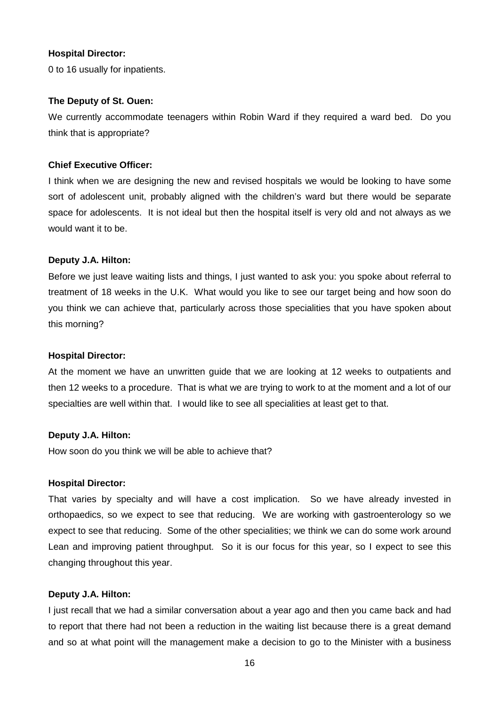0 to 16 usually for inpatients.

#### **The Deputy of St. Ouen:**

We currently accommodate teenagers within Robin Ward if they required a ward bed. Do you think that is appropriate?

## **Chief Executive Officer:**

I think when we are designing the new and revised hospitals we would be looking to have some sort of adolescent unit, probably aligned with the children's ward but there would be separate space for adolescents. It is not ideal but then the hospital itself is very old and not always as we would want it to be.

#### **Deputy J.A. Hilton:**

Before we just leave waiting lists and things, I just wanted to ask you: you spoke about referral to treatment of 18 weeks in the U.K. What would you like to see our target being and how soon do you think we can achieve that, particularly across those specialities that you have spoken about this morning?

#### **Hospital Director:**

At the moment we have an unwritten guide that we are looking at 12 weeks to outpatients and then 12 weeks to a procedure. That is what we are trying to work to at the moment and a lot of our specialties are well within that. I would like to see all specialities at least get to that.

#### **Deputy J.A. Hilton:**

How soon do you think we will be able to achieve that?

#### **Hospital Director:**

That varies by specialty and will have a cost implication. So we have already invested in orthopaedics, so we expect to see that reducing. We are working with gastroenterology so we expect to see that reducing. Some of the other specialities; we think we can do some work around Lean and improving patient throughput. So it is our focus for this year, so I expect to see this changing throughout this year.

## **Deputy J.A. Hilton:**

I just recall that we had a similar conversation about a year ago and then you came back and had to report that there had not been a reduction in the waiting list because there is a great demand and so at what point will the management make a decision to go to the Minister with a business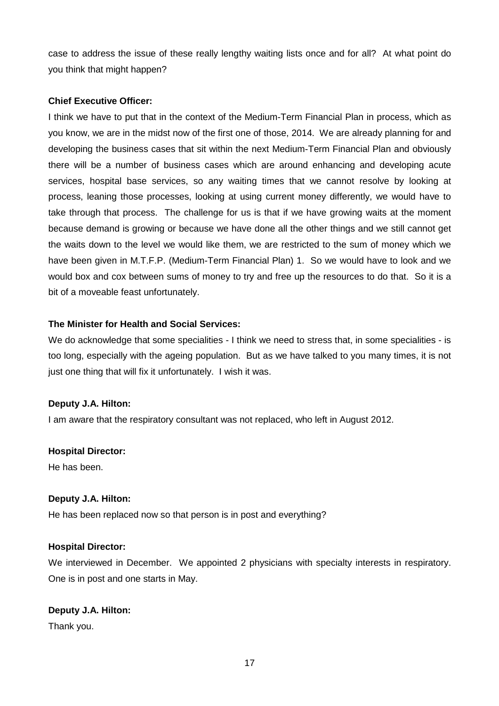case to address the issue of these really lengthy waiting lists once and for all? At what point do you think that might happen?

# **Chief Executive Officer:**

I think we have to put that in the context of the Medium-Term Financial Plan in process, which as you know, we are in the midst now of the first one of those, 2014. We are already planning for and developing the business cases that sit within the next Medium-Term Financial Plan and obviously there will be a number of business cases which are around enhancing and developing acute services, hospital base services, so any waiting times that we cannot resolve by looking at process, leaning those processes, looking at using current money differently, we would have to take through that process. The challenge for us is that if we have growing waits at the moment because demand is growing or because we have done all the other things and we still cannot get the waits down to the level we would like them, we are restricted to the sum of money which we have been given in M.T.F.P. (Medium-Term Financial Plan) 1. So we would have to look and we would box and cox between sums of money to try and free up the resources to do that. So it is a bit of a moveable feast unfortunately.

# **The Minister for Health and Social Services:**

We do acknowledge that some specialities - I think we need to stress that, in some specialities - is too long, especially with the ageing population. But as we have talked to you many times, it is not just one thing that will fix it unfortunately. I wish it was.

## **Deputy J.A. Hilton:**

I am aware that the respiratory consultant was not replaced, who left in August 2012.

## **Hospital Director:**

He has been.

## **Deputy J.A. Hilton:**

He has been replaced now so that person is in post and everything?

## **Hospital Director:**

We interviewed in December. We appointed 2 physicians with specialty interests in respiratory. One is in post and one starts in May.

## **Deputy J.A. Hilton:**

Thank you.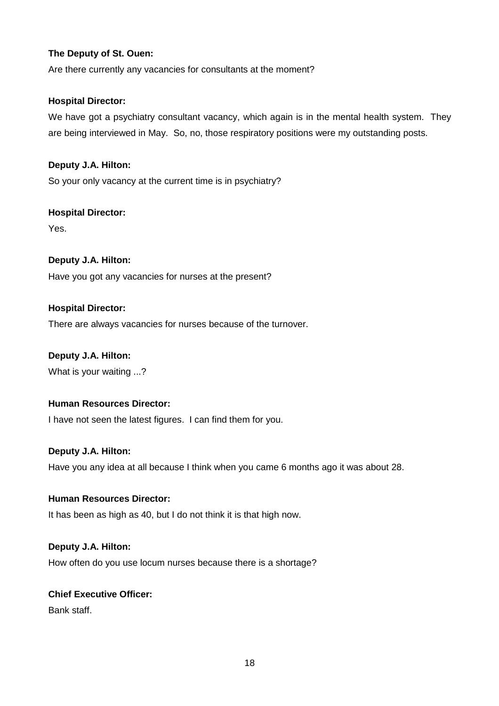Are there currently any vacancies for consultants at the moment?

## **Hospital Director:**

We have got a psychiatry consultant vacancy, which again is in the mental health system. They are being interviewed in May. So, no, those respiratory positions were my outstanding posts.

# **Deputy J.A. Hilton:**

So your only vacancy at the current time is in psychiatry?

## **Hospital Director:**

Yes.

# **Deputy J.A. Hilton:**

Have you got any vacancies for nurses at the present?

## **Hospital Director:**

There are always vacancies for nurses because of the turnover.

## **Deputy J.A. Hilton:**

What is your waiting ...?

## **Human Resources Director:**

I have not seen the latest figures. I can find them for you.

## **Deputy J.A. Hilton:**

Have you any idea at all because I think when you came 6 months ago it was about 28.

## **Human Resources Director:**

It has been as high as 40, but I do not think it is that high now.

# **Deputy J.A. Hilton:**

How often do you use locum nurses because there is a shortage?

# **Chief Executive Officer:**

Bank staff.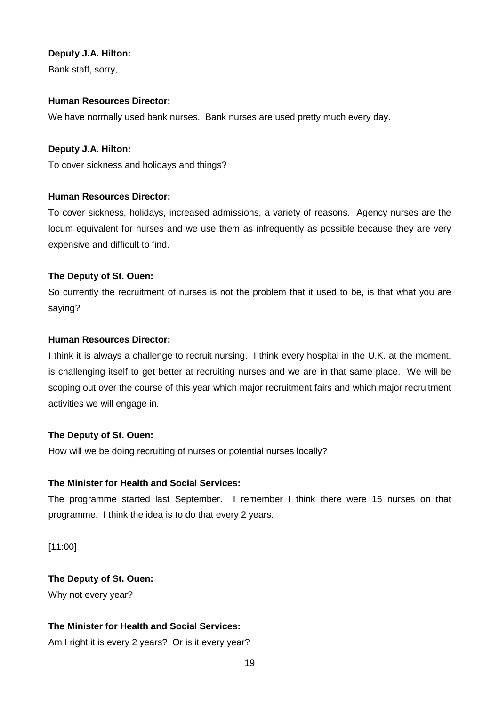## **Deputy J.A. Hilton:**

Bank staff, sorry,

## **Human Resources Director:**

We have normally used bank nurses. Bank nurses are used pretty much every day.

# **Deputy J.A. Hilton:**

To cover sickness and holidays and things?

# **Human Resources Director:**

To cover sickness, holidays, increased admissions, a variety of reasons. Agency nurses are the locum equivalent for nurses and we use them as infrequently as possible because they are very expensive and difficult to find.

# **The Deputy of St. Ouen:**

So currently the recruitment of nurses is not the problem that it used to be, is that what you are saying?

# **Human Resources Director:**

I think it is always a challenge to recruit nursing. I think every hospital in the U.K. at the moment. is challenging itself to get better at recruiting nurses and we are in that same place. We will be scoping out over the course of this year which major recruitment fairs and which major recruitment activities we will engage in.

# **The Deputy of St. Ouen:**

How will we be doing recruiting of nurses or potential nurses locally?

# **The Minister for Health and Social Services:**

The programme started last September. I remember I think there were 16 nurses on that programme. I think the idea is to do that every 2 years.

[11:00]

**The Deputy of St. Ouen:** Why not every year?

# **The Minister for Health and Social Services:**

Am I right it is every 2 years? Or is it every year?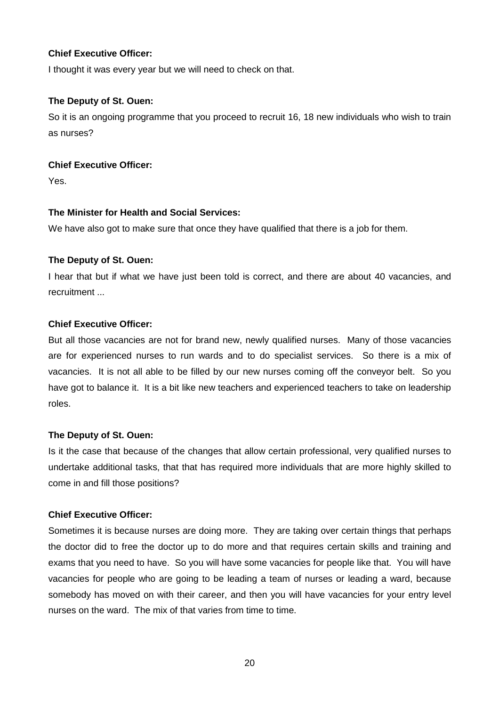## **Chief Executive Officer:**

I thought it was every year but we will need to check on that.

## **The Deputy of St. Ouen:**

So it is an ongoing programme that you proceed to recruit 16, 18 new individuals who wish to train as nurses?

# **Chief Executive Officer:**

Yes.

# **The Minister for Health and Social Services:**

We have also got to make sure that once they have qualified that there is a job for them.

# **The Deputy of St. Ouen:**

I hear that but if what we have just been told is correct, and there are about 40 vacancies, and recruitment ...

# **Chief Executive Officer:**

But all those vacancies are not for brand new, newly qualified nurses. Many of those vacancies are for experienced nurses to run wards and to do specialist services. So there is a mix of vacancies. It is not all able to be filled by our new nurses coming off the conveyor belt. So you have got to balance it. It is a bit like new teachers and experienced teachers to take on leadership roles.

# **The Deputy of St. Ouen:**

Is it the case that because of the changes that allow certain professional, very qualified nurses to undertake additional tasks, that that has required more individuals that are more highly skilled to come in and fill those positions?

# **Chief Executive Officer:**

Sometimes it is because nurses are doing more. They are taking over certain things that perhaps the doctor did to free the doctor up to do more and that requires certain skills and training and exams that you need to have. So you will have some vacancies for people like that. You will have vacancies for people who are going to be leading a team of nurses or leading a ward, because somebody has moved on with their career, and then you will have vacancies for your entry level nurses on the ward. The mix of that varies from time to time.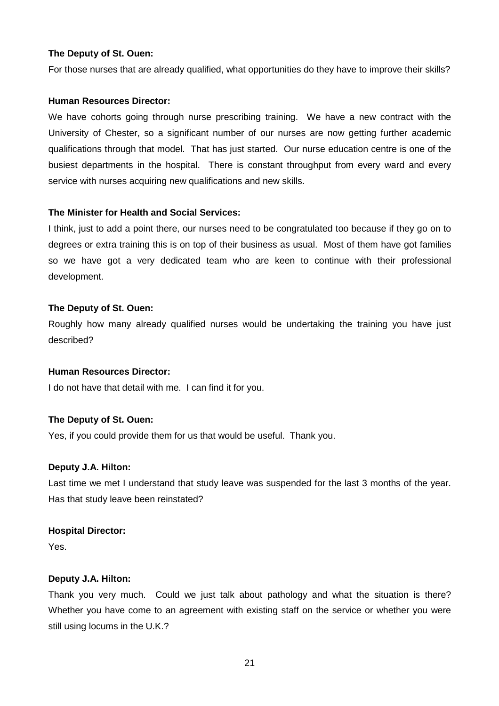For those nurses that are already qualified, what opportunities do they have to improve their skills?

#### **Human Resources Director:**

We have cohorts going through nurse prescribing training. We have a new contract with the University of Chester, so a significant number of our nurses are now getting further academic qualifications through that model. That has just started. Our nurse education centre is one of the busiest departments in the hospital. There is constant throughput from every ward and every service with nurses acquiring new qualifications and new skills.

#### **The Minister for Health and Social Services:**

I think, just to add a point there, our nurses need to be congratulated too because if they go on to degrees or extra training this is on top of their business as usual. Most of them have got families so we have got a very dedicated team who are keen to continue with their professional development.

#### **The Deputy of St. Ouen:**

Roughly how many already qualified nurses would be undertaking the training you have just described?

#### **Human Resources Director:**

I do not have that detail with me. I can find it for you.

## **The Deputy of St. Ouen:**

Yes, if you could provide them for us that would be useful. Thank you.

#### **Deputy J.A. Hilton:**

Last time we met I understand that study leave was suspended for the last 3 months of the year. Has that study leave been reinstated?

#### **Hospital Director:**

Yes.

#### **Deputy J.A. Hilton:**

Thank you very much. Could we just talk about pathology and what the situation is there? Whether you have come to an agreement with existing staff on the service or whether you were still using locums in the U.K.?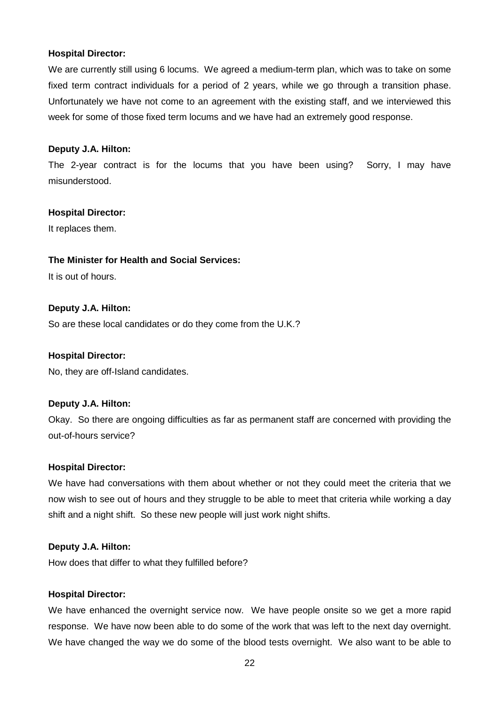We are currently still using 6 locums. We agreed a medium-term plan, which was to take on some fixed term contract individuals for a period of 2 years, while we go through a transition phase. Unfortunately we have not come to an agreement with the existing staff, and we interviewed this week for some of those fixed term locums and we have had an extremely good response.

#### **Deputy J.A. Hilton:**

The 2-year contract is for the locums that you have been using? Sorry, I may have misunderstood.

#### **Hospital Director:**

It replaces them.

#### **The Minister for Health and Social Services:**

It is out of hours.

#### **Deputy J.A. Hilton:**

So are these local candidates or do they come from the U.K.?

#### **Hospital Director:**

No, they are off-Island candidates.

## **Deputy J.A. Hilton:**

Okay. So there are ongoing difficulties as far as permanent staff are concerned with providing the out-of-hours service?

#### **Hospital Director:**

We have had conversations with them about whether or not they could meet the criteria that we now wish to see out of hours and they struggle to be able to meet that criteria while working a day shift and a night shift. So these new people will just work night shifts.

#### **Deputy J.A. Hilton:**

How does that differ to what they fulfilled before?

#### **Hospital Director:**

We have enhanced the overnight service now. We have people onsite so we get a more rapid response. We have now been able to do some of the work that was left to the next day overnight. We have changed the way we do some of the blood tests overnight. We also want to be able to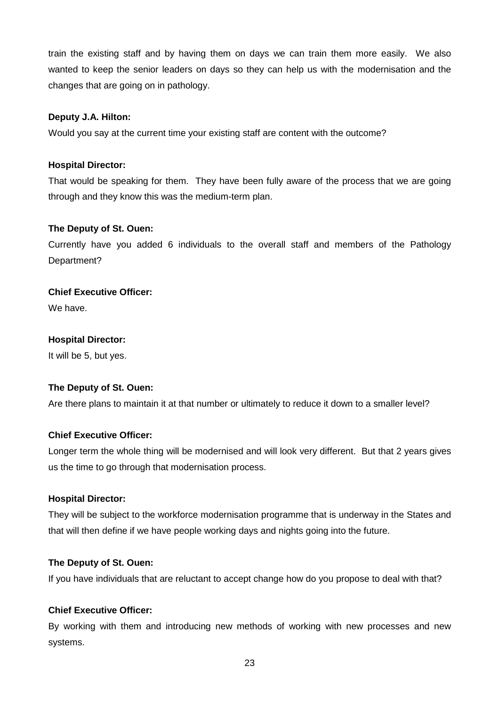train the existing staff and by having them on days we can train them more easily. We also wanted to keep the senior leaders on days so they can help us with the modernisation and the changes that are going on in pathology.

## **Deputy J.A. Hilton:**

Would you say at the current time your existing staff are content with the outcome?

## **Hospital Director:**

That would be speaking for them. They have been fully aware of the process that we are going through and they know this was the medium-term plan.

## **The Deputy of St. Ouen:**

Currently have you added 6 individuals to the overall staff and members of the Pathology Department?

# **Chief Executive Officer:**

We have.

#### **Hospital Director:**

It will be 5, but yes.

## **The Deputy of St. Ouen:**

Are there plans to maintain it at that number or ultimately to reduce it down to a smaller level?

## **Chief Executive Officer:**

Longer term the whole thing will be modernised and will look very different. But that 2 years gives us the time to go through that modernisation process.

#### **Hospital Director:**

They will be subject to the workforce modernisation programme that is underway in the States and that will then define if we have people working days and nights going into the future.

## **The Deputy of St. Ouen:**

If you have individuals that are reluctant to accept change how do you propose to deal with that?

## **Chief Executive Officer:**

By working with them and introducing new methods of working with new processes and new systems.

23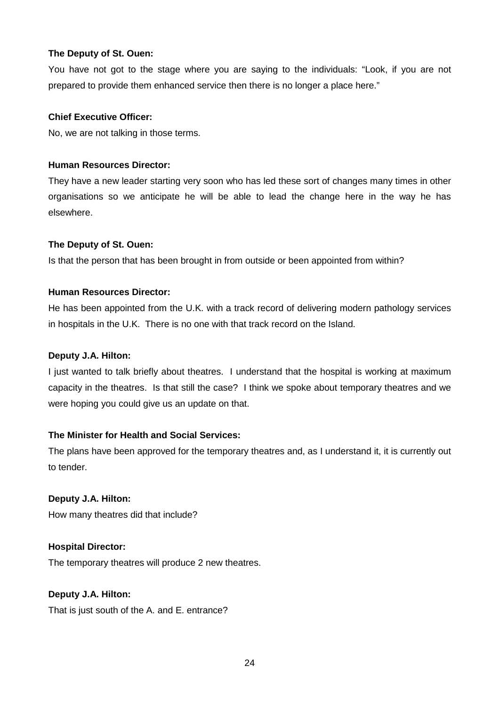You have not got to the stage where you are saying to the individuals: "Look, if you are not prepared to provide them enhanced service then there is no longer a place here."

# **Chief Executive Officer:**

No, we are not talking in those terms.

# **Human Resources Director:**

They have a new leader starting very soon who has led these sort of changes many times in other organisations so we anticipate he will be able to lead the change here in the way he has elsewhere.

# **The Deputy of St. Ouen:**

Is that the person that has been brought in from outside or been appointed from within?

# **Human Resources Director:**

He has been appointed from the U.K. with a track record of delivering modern pathology services in hospitals in the U.K. There is no one with that track record on the Island.

## **Deputy J.A. Hilton:**

I just wanted to talk briefly about theatres. I understand that the hospital is working at maximum capacity in the theatres. Is that still the case? I think we spoke about temporary theatres and we were hoping you could give us an update on that.

# **The Minister for Health and Social Services:**

The plans have been approved for the temporary theatres and, as I understand it, it is currently out to tender.

# **Deputy J.A. Hilton:**

How many theatres did that include?

# **Hospital Director:**

The temporary theatres will produce 2 new theatres.

## **Deputy J.A. Hilton:**

That is just south of the A. and E. entrance?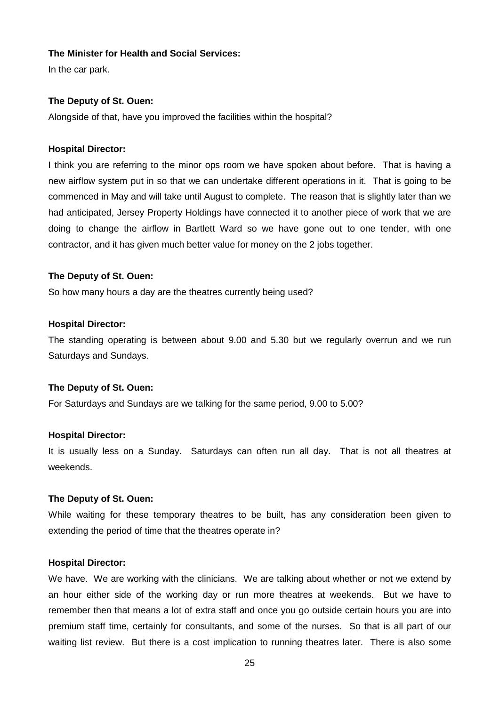#### **The Minister for Health and Social Services:**

In the car park.

## **The Deputy of St. Ouen:**

Alongside of that, have you improved the facilities within the hospital?

#### **Hospital Director:**

I think you are referring to the minor ops room we have spoken about before. That is having a new airflow system put in so that we can undertake different operations in it. That is going to be commenced in May and will take until August to complete. The reason that is slightly later than we had anticipated, Jersey Property Holdings have connected it to another piece of work that we are doing to change the airflow in Bartlett Ward so we have gone out to one tender, with one contractor, and it has given much better value for money on the 2 jobs together.

## **The Deputy of St. Ouen:**

So how many hours a day are the theatres currently being used?

#### **Hospital Director:**

The standing operating is between about 9.00 and 5.30 but we regularly overrun and we run Saturdays and Sundays.

## **The Deputy of St. Ouen:**

For Saturdays and Sundays are we talking for the same period, 9.00 to 5.00?

## **Hospital Director:**

It is usually less on a Sunday. Saturdays can often run all day. That is not all theatres at weekends.

## **The Deputy of St. Ouen:**

While waiting for these temporary theatres to be built, has any consideration been given to extending the period of time that the theatres operate in?

#### **Hospital Director:**

We have. We are working with the clinicians. We are talking about whether or not we extend by an hour either side of the working day or run more theatres at weekends. But we have to remember then that means a lot of extra staff and once you go outside certain hours you are into premium staff time, certainly for consultants, and some of the nurses. So that is all part of our waiting list review. But there is a cost implication to running theatres later. There is also some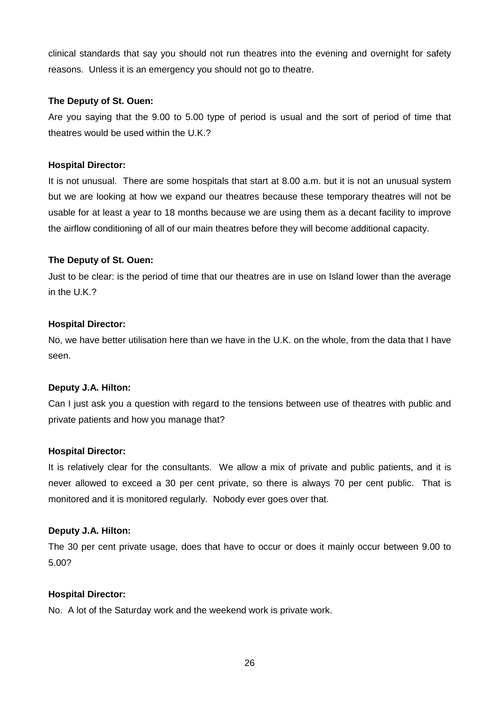clinical standards that say you should not run theatres into the evening and overnight for safety reasons. Unless it is an emergency you should not go to theatre.

## **The Deputy of St. Ouen:**

Are you saying that the 9.00 to 5.00 type of period is usual and the sort of period of time that theatres would be used within the U.K.?

# **Hospital Director:**

It is not unusual. There are some hospitals that start at 8.00 a.m. but it is not an unusual system but we are looking at how we expand our theatres because these temporary theatres will not be usable for at least a year to 18 months because we are using them as a decant facility to improve the airflow conditioning of all of our main theatres before they will become additional capacity.

# **The Deputy of St. Ouen:**

Just to be clear: is the period of time that our theatres are in use on Island lower than the average in the U.K.?

# **Hospital Director:**

No, we have better utilisation here than we have in the U.K. on the whole, from the data that I have seen.

# **Deputy J.A. Hilton:**

Can I just ask you a question with regard to the tensions between use of theatres with public and private patients and how you manage that?

# **Hospital Director:**

It is relatively clear for the consultants. We allow a mix of private and public patients, and it is never allowed to exceed a 30 per cent private, so there is always 70 per cent public. That is monitored and it is monitored regularly. Nobody ever goes over that.

## **Deputy J.A. Hilton:**

The 30 per cent private usage, does that have to occur or does it mainly occur between 9.00 to 5.00?

## **Hospital Director:**

No. A lot of the Saturday work and the weekend work is private work.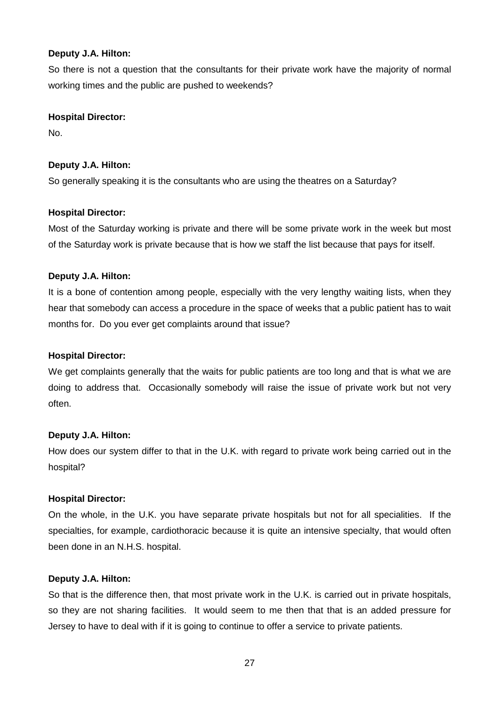## **Deputy J.A. Hilton:**

So there is not a question that the consultants for their private work have the majority of normal working times and the public are pushed to weekends?

# **Hospital Director:**

No.

# **Deputy J.A. Hilton:**

So generally speaking it is the consultants who are using the theatres on a Saturday?

# **Hospital Director:**

Most of the Saturday working is private and there will be some private work in the week but most of the Saturday work is private because that is how we staff the list because that pays for itself.

# **Deputy J.A. Hilton:**

It is a bone of contention among people, especially with the very lengthy waiting lists, when they hear that somebody can access a procedure in the space of weeks that a public patient has to wait months for. Do you ever get complaints around that issue?

## **Hospital Director:**

We get complaints generally that the waits for public patients are too long and that is what we are doing to address that. Occasionally somebody will raise the issue of private work but not very often.

## **Deputy J.A. Hilton:**

How does our system differ to that in the U.K. with regard to private work being carried out in the hospital?

## **Hospital Director:**

On the whole, in the U.K. you have separate private hospitals but not for all specialities. If the specialties, for example, cardiothoracic because it is quite an intensive specialty, that would often been done in an N.H.S. hospital.

## **Deputy J.A. Hilton:**

So that is the difference then, that most private work in the U.K. is carried out in private hospitals, so they are not sharing facilities. It would seem to me then that that is an added pressure for Jersey to have to deal with if it is going to continue to offer a service to private patients.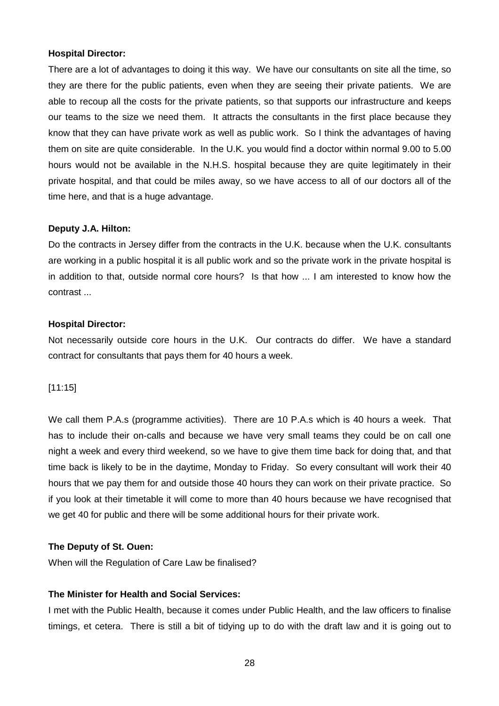There are a lot of advantages to doing it this way. We have our consultants on site all the time, so they are there for the public patients, even when they are seeing their private patients. We are able to recoup all the costs for the private patients, so that supports our infrastructure and keeps our teams to the size we need them. It attracts the consultants in the first place because they know that they can have private work as well as public work. So I think the advantages of having them on site are quite considerable. In the U.K. you would find a doctor within normal 9.00 to 5.00 hours would not be available in the N.H.S. hospital because they are quite legitimately in their private hospital, and that could be miles away, so we have access to all of our doctors all of the time here, and that is a huge advantage.

#### **Deputy J.A. Hilton:**

Do the contracts in Jersey differ from the contracts in the U.K. because when the U.K. consultants are working in a public hospital it is all public work and so the private work in the private hospital is in addition to that, outside normal core hours? Is that how ... I am interested to know how the contrast ...

#### **Hospital Director:**

Not necessarily outside core hours in the U.K. Our contracts do differ. We have a standard contract for consultants that pays them for 40 hours a week.

[11:15]

We call them P.A.s (programme activities). There are 10 P.A.s which is 40 hours a week. That has to include their on-calls and because we have very small teams they could be on call one night a week and every third weekend, so we have to give them time back for doing that, and that time back is likely to be in the daytime, Monday to Friday. So every consultant will work their 40 hours that we pay them for and outside those 40 hours they can work on their private practice. So if you look at their timetable it will come to more than 40 hours because we have recognised that we get 40 for public and there will be some additional hours for their private work.

## **The Deputy of St. Ouen:**

When will the Regulation of Care Law be finalised?

## **The Minister for Health and Social Services:**

I met with the Public Health, because it comes under Public Health, and the law officers to finalise timings, et cetera. There is still a bit of tidying up to do with the draft law and it is going out to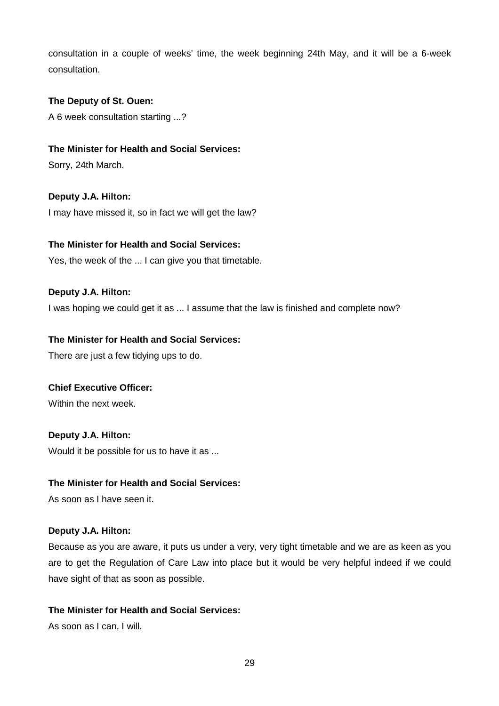consultation in a couple of weeks' time, the week beginning 24th May, and it will be a 6-week consultation.

## **The Deputy of St. Ouen:**

A 6 week consultation starting ...?

# **The Minister for Health and Social Services:**

Sorry, 24th March.

**Deputy J.A. Hilton:** I may have missed it, so in fact we will get the law?

# **The Minister for Health and Social Services:**

Yes, the week of the ... I can give you that timetable.

# **Deputy J.A. Hilton:**

I was hoping we could get it as ... I assume that the law is finished and complete now?

# **The Minister for Health and Social Services:**

There are just a few tidying ups to do.

## **Chief Executive Officer:**

Within the next week.

# **Deputy J.A. Hilton:**

Would it be possible for us to have it as ...

## **The Minister for Health and Social Services:**

As soon as I have seen it.

## **Deputy J.A. Hilton:**

Because as you are aware, it puts us under a very, very tight timetable and we are as keen as you are to get the Regulation of Care Law into place but it would be very helpful indeed if we could have sight of that as soon as possible.

## **The Minister for Health and Social Services:**

As soon as I can, I will.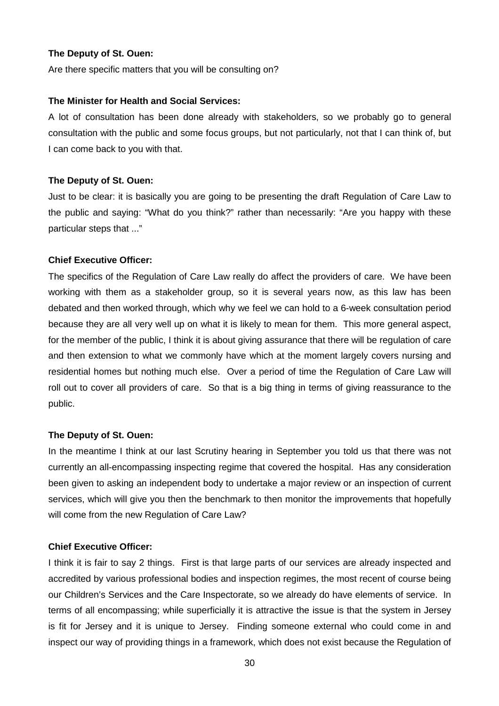Are there specific matters that you will be consulting on?

#### **The Minister for Health and Social Services:**

A lot of consultation has been done already with stakeholders, so we probably go to general consultation with the public and some focus groups, but not particularly, not that I can think of, but I can come back to you with that.

#### **The Deputy of St. Ouen:**

Just to be clear: it is basically you are going to be presenting the draft Regulation of Care Law to the public and saying: "What do you think?" rather than necessarily: "Are you happy with these particular steps that ..."

#### **Chief Executive Officer:**

The specifics of the Regulation of Care Law really do affect the providers of care. We have been working with them as a stakeholder group, so it is several years now, as this law has been debated and then worked through, which why we feel we can hold to a 6-week consultation period because they are all very well up on what it is likely to mean for them. This more general aspect, for the member of the public, I think it is about giving assurance that there will be regulation of care and then extension to what we commonly have which at the moment largely covers nursing and residential homes but nothing much else. Over a period of time the Regulation of Care Law will roll out to cover all providers of care. So that is a big thing in terms of giving reassurance to the public.

#### **The Deputy of St. Ouen:**

In the meantime I think at our last Scrutiny hearing in September you told us that there was not currently an all-encompassing inspecting regime that covered the hospital. Has any consideration been given to asking an independent body to undertake a major review or an inspection of current services, which will give you then the benchmark to then monitor the improvements that hopefully will come from the new Regulation of Care Law?

# **Chief Executive Officer:**

I think it is fair to say 2 things. First is that large parts of our services are already inspected and accredited by various professional bodies and inspection regimes, the most recent of course being our Children's Services and the Care Inspectorate, so we already do have elements of service. In terms of all encompassing; while superficially it is attractive the issue is that the system in Jersey is fit for Jersey and it is unique to Jersey. Finding someone external who could come in and inspect our way of providing things in a framework, which does not exist because the Regulation of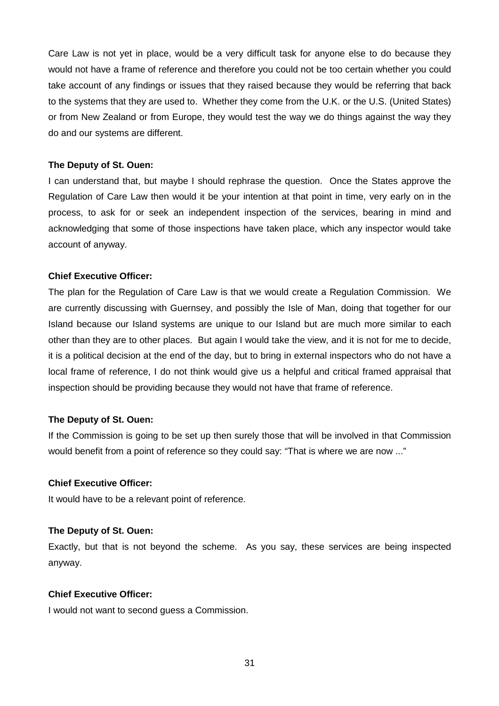Care Law is not yet in place, would be a very difficult task for anyone else to do because they would not have a frame of reference and therefore you could not be too certain whether you could take account of any findings or issues that they raised because they would be referring that back to the systems that they are used to. Whether they come from the U.K. or the U.S. (United States) or from New Zealand or from Europe, they would test the way we do things against the way they do and our systems are different.

## **The Deputy of St. Ouen:**

I can understand that, but maybe I should rephrase the question. Once the States approve the Regulation of Care Law then would it be your intention at that point in time, very early on in the process, to ask for or seek an independent inspection of the services, bearing in mind and acknowledging that some of those inspections have taken place, which any inspector would take account of anyway.

## **Chief Executive Officer:**

The plan for the Regulation of Care Law is that we would create a Regulation Commission. We are currently discussing with Guernsey, and possibly the Isle of Man, doing that together for our Island because our Island systems are unique to our Island but are much more similar to each other than they are to other places. But again I would take the view, and it is not for me to decide, it is a political decision at the end of the day, but to bring in external inspectors who do not have a local frame of reference, I do not think would give us a helpful and critical framed appraisal that inspection should be providing because they would not have that frame of reference.

## **The Deputy of St. Ouen:**

If the Commission is going to be set up then surely those that will be involved in that Commission would benefit from a point of reference so they could say: "That is where we are now ..."

## **Chief Executive Officer:**

It would have to be a relevant point of reference.

## **The Deputy of St. Ouen:**

Exactly, but that is not beyond the scheme. As you say, these services are being inspected anyway.

## **Chief Executive Officer:**

I would not want to second guess a Commission.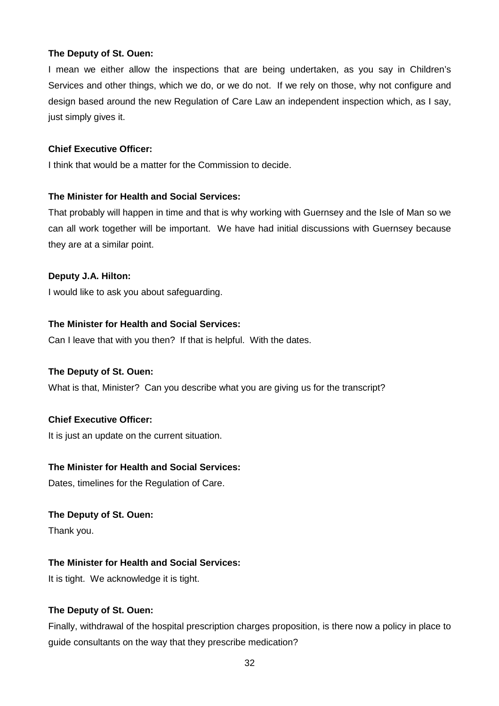I mean we either allow the inspections that are being undertaken, as you say in Children's Services and other things, which we do, or we do not. If we rely on those, why not configure and design based around the new Regulation of Care Law an independent inspection which, as I say, just simply gives it.

# **Chief Executive Officer:**

I think that would be a matter for the Commission to decide.

# **The Minister for Health and Social Services:**

That probably will happen in time and that is why working with Guernsey and the Isle of Man so we can all work together will be important. We have had initial discussions with Guernsey because they are at a similar point.

# **Deputy J.A. Hilton:**

I would like to ask you about safeguarding.

# **The Minister for Health and Social Services:**

Can I leave that with you then? If that is helpful. With the dates.

## **The Deputy of St. Ouen:**

What is that, Minister? Can you describe what you are giving us for the transcript?

# **Chief Executive Officer:**

It is just an update on the current situation.

## **The Minister for Health and Social Services:**

Dates, timelines for the Regulation of Care.

## **The Deputy of St. Ouen:**

Thank you.

# **The Minister for Health and Social Services:**

It is tight. We acknowledge it is tight.

# **The Deputy of St. Ouen:**

Finally, withdrawal of the hospital prescription charges proposition, is there now a policy in place to guide consultants on the way that they prescribe medication?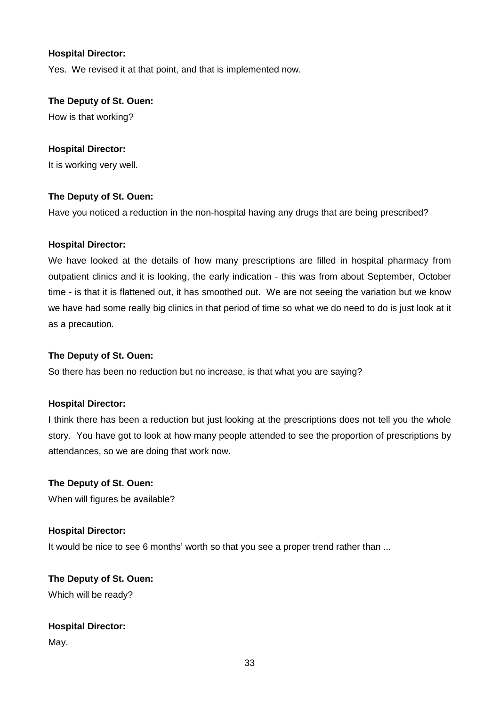Yes. We revised it at that point, and that is implemented now.

## **The Deputy of St. Ouen:**

How is that working?

## **Hospital Director:**

It is working very well.

## **The Deputy of St. Ouen:**

Have you noticed a reduction in the non-hospital having any drugs that are being prescribed?

#### **Hospital Director:**

We have looked at the details of how many prescriptions are filled in hospital pharmacy from outpatient clinics and it is looking, the early indication - this was from about September, October time - is that it is flattened out, it has smoothed out. We are not seeing the variation but we know we have had some really big clinics in that period of time so what we do need to do is just look at it as a precaution.

## **The Deputy of St. Ouen:**

So there has been no reduction but no increase, is that what you are saying?

## **Hospital Director:**

I think there has been a reduction but just looking at the prescriptions does not tell you the whole story. You have got to look at how many people attended to see the proportion of prescriptions by attendances, so we are doing that work now.

# **The Deputy of St. Ouen:** When will figures be available?

#### **Hospital Director:**

It would be nice to see 6 months' worth so that you see a proper trend rather than ...

# **The Deputy of St. Ouen:** Which will be ready?

# **Hospital Director:**

May.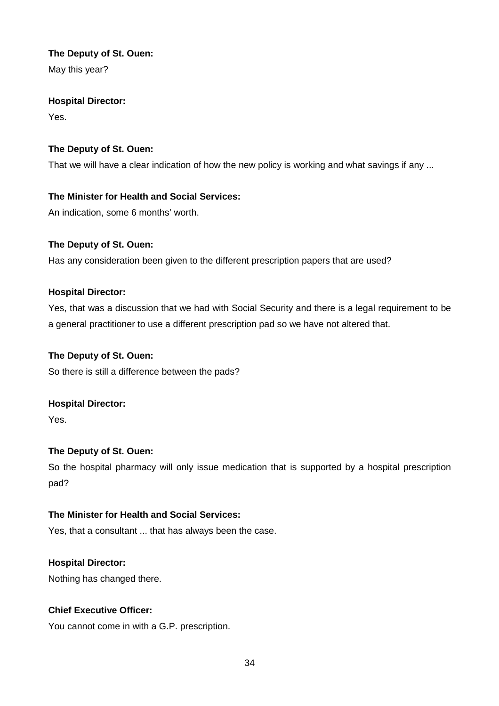May this year?

# **Hospital Director:**

Yes.

# **The Deputy of St. Ouen:**

That we will have a clear indication of how the new policy is working and what savings if any ...

# **The Minister for Health and Social Services:**

An indication, some 6 months' worth.

# **The Deputy of St. Ouen:**

Has any consideration been given to the different prescription papers that are used?

# **Hospital Director:**

Yes, that was a discussion that we had with Social Security and there is a legal requirement to be a general practitioner to use a different prescription pad so we have not altered that.

# **The Deputy of St. Ouen:**

So there is still a difference between the pads?

# **Hospital Director:**

Yes.

# **The Deputy of St. Ouen:**

So the hospital pharmacy will only issue medication that is supported by a hospital prescription pad?

# **The Minister for Health and Social Services:**

Yes, that a consultant ... that has always been the case.

# **Hospital Director:**

Nothing has changed there.

# **Chief Executive Officer:**

You cannot come in with a G.P. prescription.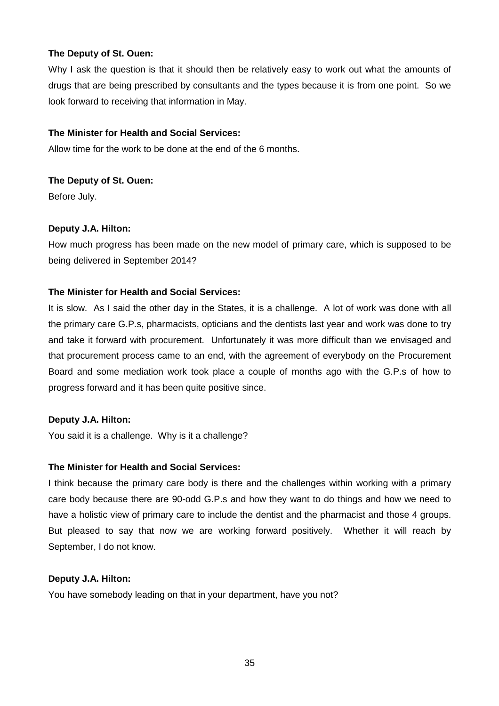Why I ask the question is that it should then be relatively easy to work out what the amounts of drugs that are being prescribed by consultants and the types because it is from one point. So we look forward to receiving that information in May.

# **The Minister for Health and Social Services:**

Allow time for the work to be done at the end of the 6 months.

# **The Deputy of St. Ouen:**

Before July.

# **Deputy J.A. Hilton:**

How much progress has been made on the new model of primary care, which is supposed to be being delivered in September 2014?

# **The Minister for Health and Social Services:**

It is slow. As I said the other day in the States, it is a challenge. A lot of work was done with all the primary care G.P.s, pharmacists, opticians and the dentists last year and work was done to try and take it forward with procurement. Unfortunately it was more difficult than we envisaged and that procurement process came to an end, with the agreement of everybody on the Procurement Board and some mediation work took place a couple of months ago with the G.P.s of how to progress forward and it has been quite positive since.

# **Deputy J.A. Hilton:**

You said it is a challenge. Why is it a challenge?

## **The Minister for Health and Social Services:**

I think because the primary care body is there and the challenges within working with a primary care body because there are 90-odd G.P.s and how they want to do things and how we need to have a holistic view of primary care to include the dentist and the pharmacist and those 4 groups. But pleased to say that now we are working forward positively. Whether it will reach by September, I do not know.

## **Deputy J.A. Hilton:**

You have somebody leading on that in your department, have you not?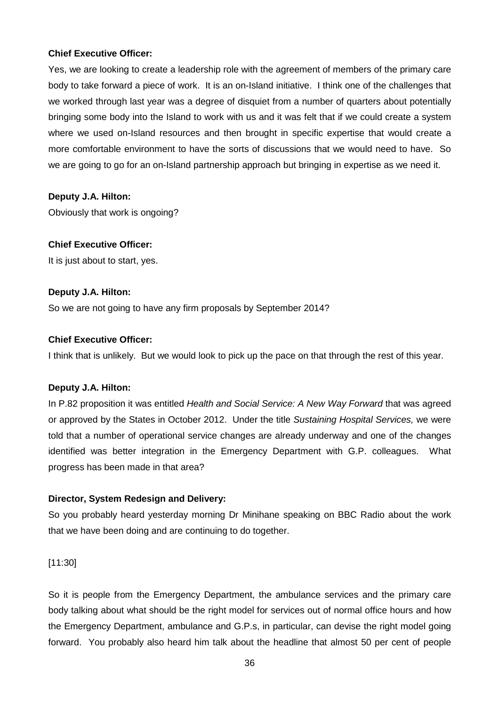# **Chief Executive Officer:**

Yes, we are looking to create a leadership role with the agreement of members of the primary care body to take forward a piece of work. It is an on-Island initiative. I think one of the challenges that we worked through last year was a degree of disquiet from a number of quarters about potentially bringing some body into the Island to work with us and it was felt that if we could create a system where we used on-Island resources and then brought in specific expertise that would create a more comfortable environment to have the sorts of discussions that we would need to have. So we are going to go for an on-Island partnership approach but bringing in expertise as we need it.

# **Deputy J.A. Hilton:**

Obviously that work is ongoing?

# **Chief Executive Officer:**

It is just about to start, yes.

## **Deputy J.A. Hilton:**

So we are not going to have any firm proposals by September 2014?

# **Chief Executive Officer:**

I think that is unlikely. But we would look to pick up the pace on that through the rest of this year.

## **Deputy J.A. Hilton:**

In P.82 proposition it was entitled Health and Social Service: A New Way Forward that was agreed or approved by the States in October 2012. Under the title Sustaining Hospital Services, we were told that a number of operational service changes are already underway and one of the changes identified was better integration in the Emergency Department with G.P. colleagues. What progress has been made in that area?

# **Director, System Redesign and Delivery:**

So you probably heard yesterday morning Dr Minihane speaking on BBC Radio about the work that we have been doing and are continuing to do together.

[11:30]

So it is people from the Emergency Department, the ambulance services and the primary care body talking about what should be the right model for services out of normal office hours and how the Emergency Department, ambulance and G.P.s, in particular, can devise the right model going forward. You probably also heard him talk about the headline that almost 50 per cent of people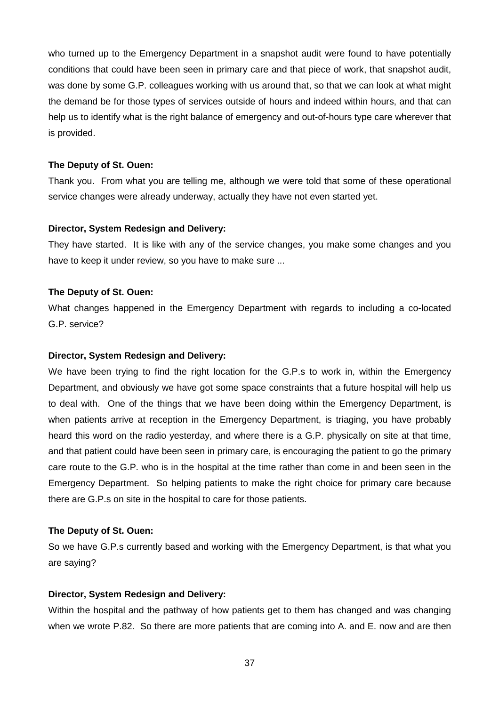who turned up to the Emergency Department in a snapshot audit were found to have potentially conditions that could have been seen in primary care and that piece of work, that snapshot audit, was done by some G.P. colleagues working with us around that, so that we can look at what might the demand be for those types of services outside of hours and indeed within hours, and that can help us to identify what is the right balance of emergency and out-of-hours type care wherever that is provided.

#### **The Deputy of St. Ouen:**

Thank you. From what you are telling me, although we were told that some of these operational service changes were already underway, actually they have not even started yet.

#### **Director, System Redesign and Delivery:**

They have started. It is like with any of the service changes, you make some changes and you have to keep it under review, so you have to make sure ...

#### **The Deputy of St. Ouen:**

What changes happened in the Emergency Department with regards to including a co-located G.P. service?

#### **Director, System Redesign and Delivery:**

We have been trying to find the right location for the G.P.s to work in, within the Emergency Department, and obviously we have got some space constraints that a future hospital will help us to deal with. One of the things that we have been doing within the Emergency Department, is when patients arrive at reception in the Emergency Department, is triaging, you have probably heard this word on the radio yesterday, and where there is a G.P. physically on site at that time, and that patient could have been seen in primary care, is encouraging the patient to go the primary care route to the G.P. who is in the hospital at the time rather than come in and been seen in the Emergency Department. So helping patients to make the right choice for primary care because there are G.P.s on site in the hospital to care for those patients.

#### **The Deputy of St. Ouen:**

So we have G.P.s currently based and working with the Emergency Department, is that what you are saying?

## **Director, System Redesign and Delivery:**

Within the hospital and the pathway of how patients get to them has changed and was changing when we wrote P.82. So there are more patients that are coming into A. and E. now and are then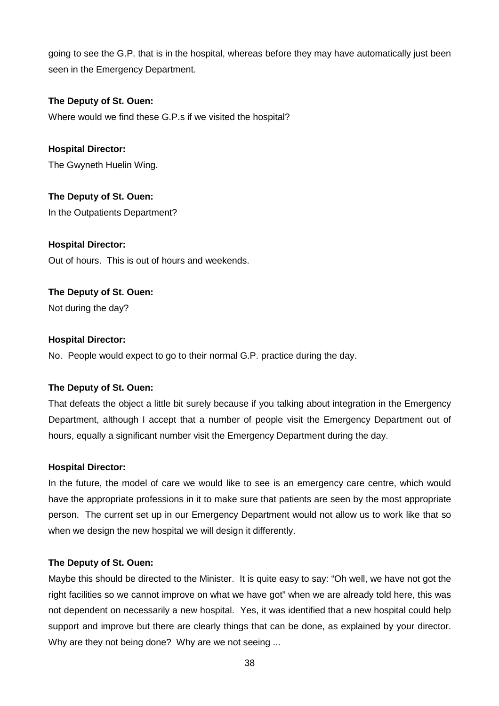going to see the G.P. that is in the hospital, whereas before they may have automatically just been seen in the Emergency Department.

# **The Deputy of St. Ouen:**

Where would we find these G.P.s if we visited the hospital?

**Hospital Director:** The Gwyneth Huelin Wing.

**The Deputy of St. Ouen:** In the Outpatients Department?

**Hospital Director:** Out of hours. This is out of hours and weekends.

**The Deputy of St. Ouen:** Not during the day?

# **Hospital Director:**

No. People would expect to go to their normal G.P. practice during the day.

## **The Deputy of St. Ouen:**

That defeats the object a little bit surely because if you talking about integration in the Emergency Department, although I accept that a number of people visit the Emergency Department out of hours, equally a significant number visit the Emergency Department during the day.

## **Hospital Director:**

In the future, the model of care we would like to see is an emergency care centre, which would have the appropriate professions in it to make sure that patients are seen by the most appropriate person. The current set up in our Emergency Department would not allow us to work like that so when we design the new hospital we will design it differently.

## **The Deputy of St. Ouen:**

Maybe this should be directed to the Minister. It is quite easy to say: "Oh well, we have not got the right facilities so we cannot improve on what we have got" when we are already told here, this was not dependent on necessarily a new hospital. Yes, it was identified that a new hospital could help support and improve but there are clearly things that can be done, as explained by your director. Why are they not being done? Why are we not seeing ...